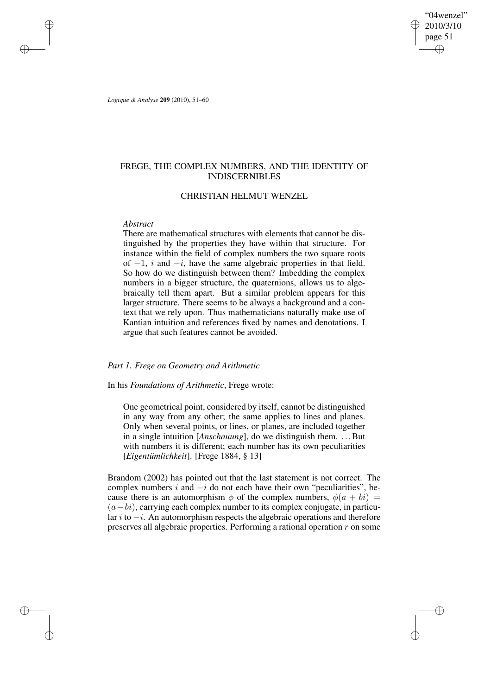"04wenzel" 2010/3/10 page 51 ✐ ✐

✐

✐

*Logique & Analyse* **209** (2010), 51–60

✐

✐

✐

✐

# FREGE, THE COMPLEX NUMBERS, AND THE IDENTITY OF INDISCERNIBLES

# CHRISTIAN HELMUT WENZEL

# *Abstract*

There are mathematical structures with elements that cannot be distinguished by the properties they have within that structure. For instance within the field of complex numbers the two square roots of  $-1$ , i and  $-i$ , have the same algebraic properties in that field. So how do we distinguish between them? Imbedding the complex numbers in a bigger structure, the quaternions, allows us to algebraically tell them apart. But a similar problem appears for this larger structure. There seems to be always a background and a context that we rely upon. Thus mathematicians naturally make use of Kantian intuition and references fixed by names and denotations. I argue that such features cannot be avoided.

# *Part 1. Frege on Geometry and Arithmetic*

# In his *Foundations of Arithmetic*, Frege wrote:

One geometrical point, considered by itself, cannot be distinguished in any way from any other; the same applies to lines and planes. Only when several points, or lines, or planes, are included together in a single intuition [*Anschauung*], do we distinguish them. ... But with numbers it is different; each number has its own peculiarities [*Eigentümlichkeit*]. [Frege 1884, § 13]

Brandom (2002) has pointed out that the last statement is not correct. The complex numbers  $i$  and  $-i$  do not each have their own "peculiarities", because there is an automorphism  $\phi$  of the complex numbers,  $\phi(a + bi)$  =  $(a-bi)$ , carrying each complex number to its complex conjugate, in particular i to  $-i$ . An automorphism respects the algebraic operations and therefore preserves all algebraic properties. Performing a rational operation r on some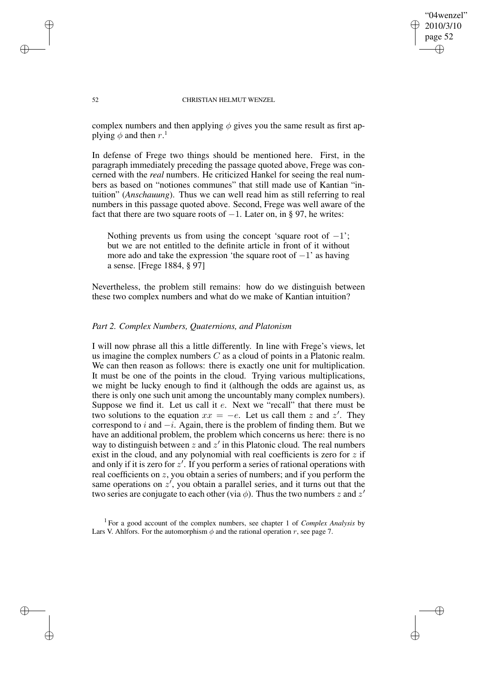"04wenzel" 2010/3/10 page 52 ✐ ✐

✐

✐

#### 52 CHRISTIAN HELMUT WENZEL

complex numbers and then applying  $\phi$  gives you the same result as first applying  $\phi$  and then  $r$ .<sup>1</sup>

In defense of Frege two things should be mentioned here. First, in the paragraph immediately preceding the passage quoted above, Frege was concerned with the *real* numbers. He criticized Hankel for seeing the real numbers as based on "notiones communes" that still made use of Kantian "intuition" (*Anschauung*). Thus we can well read him as still referring to real numbers in this passage quoted above. Second, Frege was well aware of the fact that there are two square roots of  $-1$ . Later on, in § 97, he writes:

Nothing prevents us from using the concept 'square root of  $-1$ '; but we are not entitled to the definite article in front of it without more ado and take the expression 'the square root of  $-1$ ' as having a sense. [Frege 1884, § 97]

Nevertheless, the problem still remains: how do we distinguish between these two complex numbers and what do we make of Kantian intuition?

## *Part 2. Complex Numbers, Quaternions, and Platonism*

I will now phrase all this a little differently. In line with Frege's views, let us imagine the complex numbers  $C$  as a cloud of points in a Platonic realm. We can then reason as follows: there is exactly one unit for multiplication. It must be one of the points in the cloud. Trying various multiplications, we might be lucky enough to find it (although the odds are against us, as there is only one such unit among the uncountably many complex numbers). Suppose we find it. Let us call it e. Next we "recall" that there must be two solutions to the equation  $xx = -e$ . Let us call them z and z'. They correspond to i and  $-i$ . Again, there is the problem of finding them. But we have an additional problem, the problem which concerns us here: there is no way to distinguish between  $z$  and  $z'$  in this Platonic cloud. The real numbers exist in the cloud, and any polynomial with real coefficients is zero for  $z$  if and only if it is zero for  $z'$ . If you perform a series of rational operations with real coefficients on z, you obtain a series of numbers; and if you perform the same operations on  $z'$ , you obtain a parallel series, and it turns out that the two series are conjugate to each other (via  $\phi$ ). Thus the two numbers z and z'

1 For a good account of the complex numbers, see chapter 1 of *Complex Analysis* by Lars V. Ahlfors. For the automorphism  $\phi$  and the rational operation r, see page 7.

✐

✐

✐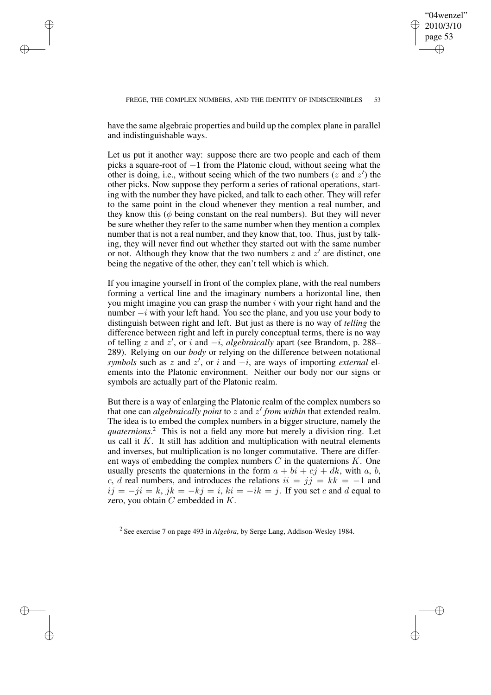✐

✐

have the same algebraic properties and build up the complex plane in parallel and indistinguishable ways.

✐

✐

✐

✐

Let us put it another way: suppose there are two people and each of them picks a square-root of −1 from the Platonic cloud, without seeing what the other is doing, i.e., without seeing which of the two numbers ( $z$  and  $z'$ ) the other picks. Now suppose they perform a series of rational operations, starting with the number they have picked, and talk to each other. They will refer to the same point in the cloud whenever they mention a real number, and they know this ( $\phi$  being constant on the real numbers). But they will never be sure whether they refer to the same number when they mention a complex number that is not a real number, and they know that, too. Thus, just by talking, they will never find out whether they started out with the same number or not. Although they know that the two numbers  $z$  and  $z'$  are distinct, one being the negative of the other, they can't tell which is which.

If you imagine yourself in front of the complex plane, with the real numbers forming a vertical line and the imaginary numbers a horizontal line, then you might imagine you can grasp the number  $i$  with your right hand and the number  $-i$  with your left hand. You see the plane, and you use your body to distinguish between right and left. But just as there is no way of *telling* the difference between right and left in purely conceptual terms, there is no way of telling z and z', or i and  $-i$ , *algebraically* apart (see Brandom, p. 288– 289). Relying on our *body* or relying on the difference between notational *symbols* such as z and z', or i and  $-i$ , are ways of importing *external* elements into the Platonic environment. Neither our body nor our signs or symbols are actually part of the Platonic realm.

But there is a way of enlarging the Platonic realm of the complex numbers so that one can *algebraically point* to z and z 0 *from within* that extended realm. The idea is to embed the complex numbers in a bigger structure, namely the *quaternions*. <sup>2</sup> This is not a field any more but merely a division ring. Let us call it  $K$ . It still has addition and multiplication with neutral elements and inverses, but multiplication is no longer commutative. There are different ways of embedding the complex numbers  $C$  in the quaternions  $K$ . One usually presents the quaternions in the form  $a + bi + cj + dk$ , with a, b, c, d real numbers, and introduces the relations  $ii = jj = kk = -1$  and  $ij = -ji = k$ ,  $jk = -kj = i$ ,  $ki = -ik = j$ . If you set c and d equal to zero, you obtain  $C$  embedded in  $K$ .

2 See exercise 7 on page 493 in *Algebra*, by Serge Lang, Addison-Wesley 1984.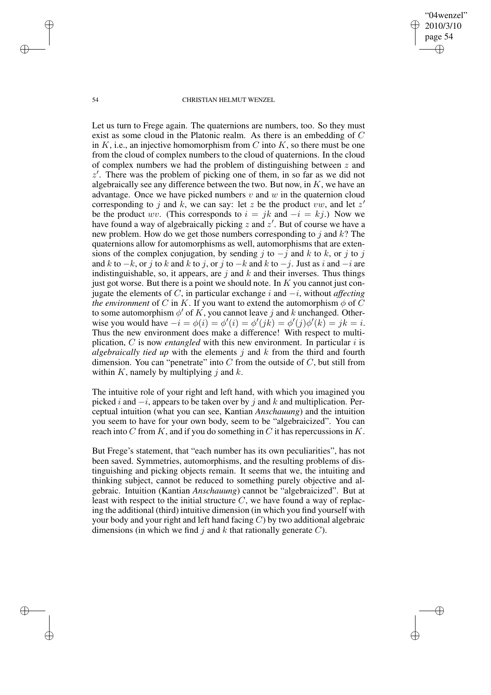"04wenzel" 2010/3/10 page 54 ✐ ✐

✐

✐

#### 54 CHRISTIAN HELMUT WENZEL

Let us turn to Frege again. The quaternions are numbers, too. So they must exist as some cloud in the Platonic realm. As there is an embedding of C in  $K$ , i.e., an injective homomorphism from  $C$  into  $K$ , so there must be one from the cloud of complex numbers to the cloud of quaternions. In the cloud of complex numbers we had the problem of distinguishing between  $z$  and  $z'$ . There was the problem of picking one of them, in so far as we did not algebraically see any difference between the two. But now, in  $K$ , we have an advantage. Once we have picked numbers  $v$  and  $w$  in the quaternion cloud corresponding to j and k, we can say: let z be the product vw, and let z' be the product wv. (This corresponds to  $i = jk$  and  $-i = kj$ .) Now we have found a way of algebraically picking  $z$  and  $z'$ . But of course we have a new problem. How do we get those numbers corresponding to  $j$  and  $k$ ? The quaternions allow for automorphisms as well, automorphisms that are extensions of the complex conjugation, by sending j to  $-j$  and k to k, or j to j and k to  $-k$ , or j to k and k to j, or j to  $-k$  and k to  $-j$ . Just as i and  $-i$  are indistinguishable, so, it appears, are  $j$  and  $k$  and their inverses. Thus things just got worse. But there is a point we should note. In  $K$  you cannot just conjugate the elements of C, in particular exchange i and −i, without *affecting the environment* of C in K. If you want to extend the automorphism  $\phi$  of C to some automorphism  $\phi'$  of K, you cannot leave j and k unchanged. Otherwise you would have  $-i = \phi(i) = \phi'(i) = \phi'(jk) = \phi'(j)\phi'(k) = jk = i$ . Thus the new environment does make a difference! With respect to multiplication,  $C$  is now *entangled* with this new environment. In particular i is *algebraically tied up* with the elements j and k from the third and fourth dimension. You can "penetrate" into  $C$  from the outside of  $C$ , but still from within K, namely by multiplying j and  $k$ .

The intuitive role of your right and left hand, with which you imagined you picked i and  $-i$ , appears to be taken over by j and k and multiplication. Perceptual intuition (what you can see, Kantian *Anschauung*) and the intuition you seem to have for your own body, seem to be "algebraicized". You can reach into  $C$  from  $K$ , and if you do something in  $C$  it has repercussions in  $K$ .

But Frege's statement, that "each number has its own peculiarities", has not been saved. Symmetries, automorphisms, and the resulting problems of distinguishing and picking objects remain. It seems that we, the intuiting and thinking subject, cannot be reduced to something purely objective and algebraic. Intuition (Kantian *Anschauung*) cannot be "algebraicized". But at least with respect to the initial structure  $C$ , we have found a way of replacing the additional (third) intuitive dimension (in which you find yourself with your body and your right and left hand facing C) by two additional algebraic dimensions (in which we find j and k that rationally generate  $C$ ).

✐

✐

✐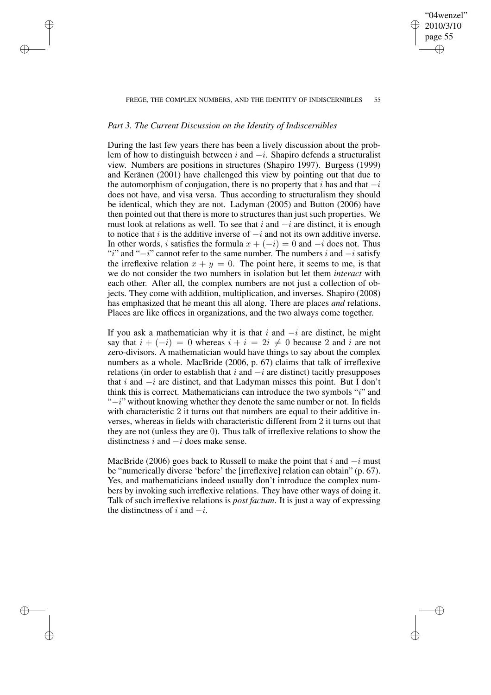#### FREGE, THE COMPLEX NUMBERS, AND THE IDENTITY OF INDISCERNIBLES 55

"04wenzel" 2010/3/10 page 55

✐

✐

✐

✐

# *Part 3. The Current Discussion on the Identity of Indiscernibles*

✐

✐

✐

✐

During the last few years there has been a lively discussion about the problem of how to distinguish between i and  $-i$ . Shapiro defends a structuralist view. Numbers are positions in structures (Shapiro 1997). Burgess (1999) and Keränen (2001) have challenged this view by pointing out that due to the automorphism of conjugation, there is no property that i has and that  $-i$ does not have, and visa versa. Thus according to structuralism they should be identical, which they are not. Ladyman (2005) and Button (2006) have then pointed out that there is more to structures than just such properties. We must look at relations as well. To see that i and  $-i$  are distinct, it is enough to notice that i is the additive inverse of  $-i$  and not its own additive inverse. In other words, i satisfies the formula  $x + (-i) = 0$  and  $-i$  does not. Thus "i" and " $-i$ " cannot refer to the same number. The numbers i and  $-i$  satisfy the irreflexive relation  $x + y = 0$ . The point here, it seems to me, is that we do not consider the two numbers in isolation but let them *interact* with each other. After all, the complex numbers are not just a collection of objects. They come with addition, multiplication, and inverses. Shapiro (2008) has emphasized that he meant this all along. There are places *and* relations. Places are like offices in organizations, and the two always come together.

If you ask a mathematician why it is that i and  $-i$  are distinct, he might say that  $i + (-i) = 0$  whereas  $i + i = 2i \neq 0$  because 2 and i are not zero-divisors. A mathematician would have things to say about the complex numbers as a whole. MacBride (2006, p. 67) claims that talk of irreflexive relations (in order to establish that i and  $-i$  are distinct) tacitly presupposes that i and  $-i$  are distinct, and that Ladyman misses this point. But I don't think this is correct. Mathematicians can introduce the two symbols "i" and "−i" without knowing whether they denote the same number or not. In fields with characteristic 2 it turns out that numbers are equal to their additive inverses, whereas in fields with characteristic different from 2 it turns out that they are not (unless they are 0). Thus talk of irreflexive relations to show the distinctness  $i$  and  $-i$  does make sense.

MacBride (2006) goes back to Russell to make the point that  $i$  and  $-i$  must be "numerically diverse 'before' the [irreflexive] relation can obtain" (p. 67). Yes, and mathematicians indeed usually don't introduce the complex numbers by invoking such irreflexive relations. They have other ways of doing it. Talk of such irreflexive relations is *post factum*. It is just a way of expressing the distinctness of i and  $-i$ .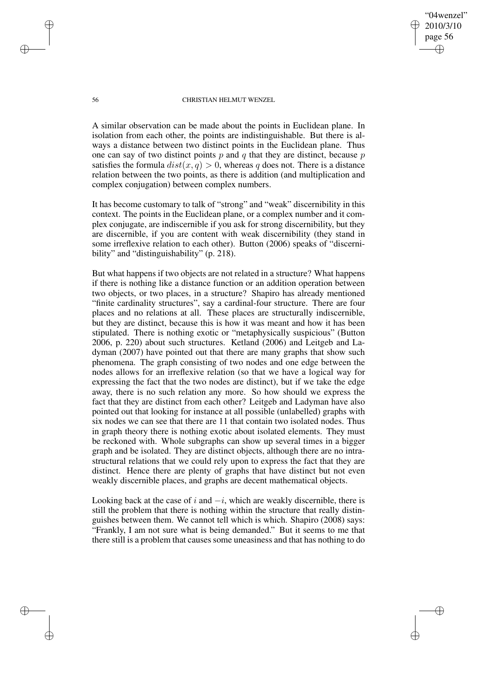"04wenzel" 2010/3/10 page 56 ✐ ✐

✐

✐

### 56 CHRISTIAN HELMUT WENZEL

A similar observation can be made about the points in Euclidean plane. In isolation from each other, the points are indistinguishable. But there is always a distance between two distinct points in the Euclidean plane. Thus one can say of two distinct points  $p$  and  $q$  that they are distinct, because  $p$ satisfies the formula  $dist(x, q) > 0$ , whereas q does not. There is a distance relation between the two points, as there is addition (and multiplication and complex conjugation) between complex numbers.

It has become customary to talk of "strong" and "weak" discernibility in this context. The points in the Euclidean plane, or a complex number and it complex conjugate, are indiscernible if you ask for strong discernibility, but they are discernible, if you are content with weak discernibility (they stand in some irreflexive relation to each other). Button (2006) speaks of "discernibility" and "distinguishability" (p. 218).

But what happens if two objects are not related in a structure? What happens if there is nothing like a distance function or an addition operation between two objects, or two places, in a structure? Shapiro has already mentioned "finite cardinality structures", say a cardinal-four structure. There are four places and no relations at all. These places are structurally indiscernible, but they are distinct, because this is how it was meant and how it has been stipulated. There is nothing exotic or "metaphysically suspicious" (Button 2006, p. 220) about such structures. Ketland (2006) and Leitgeb and Ladyman (2007) have pointed out that there are many graphs that show such phenomena. The graph consisting of two nodes and one edge between the nodes allows for an irreflexive relation (so that we have a logical way for expressing the fact that the two nodes are distinct), but if we take the edge away, there is no such relation any more. So how should we express the fact that they are distinct from each other? Leitgeb and Ladyman have also pointed out that looking for instance at all possible (unlabelled) graphs with six nodes we can see that there are 11 that contain two isolated nodes. Thus in graph theory there is nothing exotic about isolated elements. They must be reckoned with. Whole subgraphs can show up several times in a bigger graph and be isolated. They are distinct objects, although there are no intrastructural relations that we could rely upon to express the fact that they are distinct. Hence there are plenty of graphs that have distinct but not even weakly discernible places, and graphs are decent mathematical objects.

Looking back at the case of i and  $-i$ , which are weakly discernible, there is still the problem that there is nothing within the structure that really distinguishes between them. We cannot tell which is which. Shapiro (2008) says: "Frankly, I am not sure what is being demanded." But it seems to me that there still is a problem that causes some uneasiness and that has nothing to do

✐

✐

✐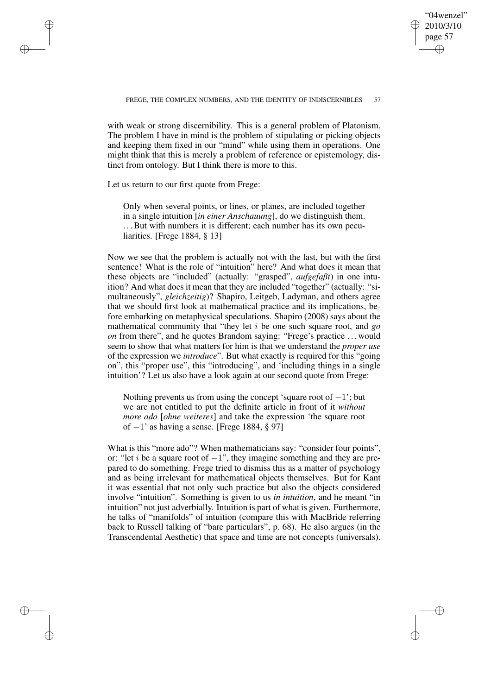✐

✐

with weak or strong discernibility. This is a general problem of Platonism. The problem I have in mind is the problem of stipulating or picking objects and keeping them fixed in our "mind" while using them in operations. One might think that this is merely a problem of reference or epistemology, distinct from ontology. But I think there is more to this.

Let us return to our first quote from Frege:

✐

✐

✐

✐

Only when several points, or lines, or planes, are included together in a single intuition [*in einer Anschauung*], do we distinguish them. ... But with numbers it is different; each number has its own peculiarities. [Frege 1884, § 13]

Now we see that the problem is actually not with the last, but with the first sentence! What is the role of "intuition" here? And what does it mean that these objects are "included" (actually: "grasped", *aufgefaßt*) in one intuition? And what does it mean that they are included "together" (actually: "simultaneously", *gleichzeitig*)? Shapiro, Leitgeb, Ladyman, and others agree that we should first look at mathematical practice and its implications, before embarking on metaphysical speculations. Shapiro (2008) says about the mathematical community that "they let i be one such square root, and *go on* from there", and he quotes Brandom saying: "Frege's practice ... would seem to show that what matters for him is that we understand the *proper use* of the expression we *introduce*". But what exactly is required for this "going on", this "proper use", this "introducing", and 'including things in a single intuition'? Let us also have a look again at our second quote from Frege:

Nothing prevents us from using the concept 'square root of  $-1$ '; but we are not entitled to put the definite article in front of it *without more ado* [*ohne weiteres*] and take the expression 'the square root of −1' as having a sense. [Frege 1884, § 97]

What is this "more ado"? When mathematicians say: "consider four points", or: "let *i* be a square root of  $-1$ ", they imagine something and they are prepared to do something. Frege tried to dismiss this as a matter of psychology and as being irrelevant for mathematical objects themselves. But for Kant it was essential that not only such practice but also the objects considered involve "intuition". Something is given to us *in intuition*, and he meant "in intuition" not just adverbially. Intuition is part of what is given. Furthermore, he talks of "manifolds" of intuition (compare this with MacBride referring back to Russell talking of "bare particulars", p. 68). He also argues (in the Transcendental Aesthetic) that space and time are not concepts (universals).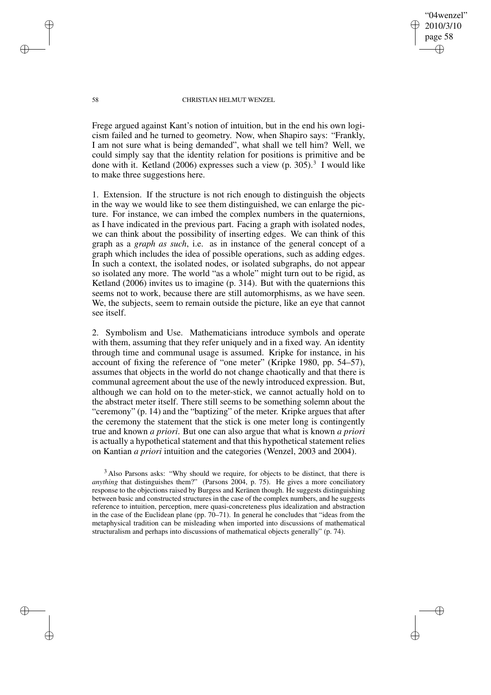"04wenzel" 2010/3/10 page 58 ✐ ✐

✐

✐

### 58 CHRISTIAN HELMUT WENZEL

Frege argued against Kant's notion of intuition, but in the end his own logicism failed and he turned to geometry. Now, when Shapiro says: "Frankly, I am not sure what is being demanded", what shall we tell him? Well, we could simply say that the identity relation for positions is primitive and be done with it. Ketland (2006) expresses such a view  $(p. 305)^3$  I would like to make three suggestions here.

1. Extension. If the structure is not rich enough to distinguish the objects in the way we would like to see them distinguished, we can enlarge the picture. For instance, we can imbed the complex numbers in the quaternions, as I have indicated in the previous part. Facing a graph with isolated nodes, we can think about the possibility of inserting edges. We can think of this graph as a *graph as such*, i.e. as in instance of the general concept of a graph which includes the idea of possible operations, such as adding edges. In such a context, the isolated nodes, or isolated subgraphs, do not appear so isolated any more. The world "as a whole" might turn out to be rigid, as Ketland (2006) invites us to imagine (p. 314). But with the quaternions this seems not to work, because there are still automorphisms, as we have seen. We, the subjects, seem to remain outside the picture, like an eye that cannot see itself.

2. Symbolism and Use. Mathematicians introduce symbols and operate with them, assuming that they refer uniquely and in a fixed way. An identity through time and communal usage is assumed. Kripke for instance, in his account of fixing the reference of "one meter" (Kripke 1980, pp. 54–57), assumes that objects in the world do not change chaotically and that there is communal agreement about the use of the newly introduced expression. But, although we can hold on to the meter-stick, we cannot actually hold on to the abstract meter itself. There still seems to be something solemn about the "ceremony" (p. 14) and the "baptizing" of the meter. Kripke argues that after the ceremony the statement that the stick is one meter long is contingently true and known *a priori*. But one can also argue that what is known *a priori* is actually a hypothetical statement and that this hypothetical statement relies on Kantian *a priori* intuition and the categories (Wenzel, 2003 and 2004).

✐

✐

✐

<sup>3</sup> Also Parsons asks: "Why should we require, for objects to be distinct, that there is *anything* that distinguishes them?" (Parsons 2004, p. 75). He gives a more conciliatory response to the objections raised by Burgess and Keränen though. He suggests distinguishing between basic and constructed structures in the case of the complex numbers, and he suggests reference to intuition, perception, mere quasi-concreteness plus idealization and abstraction in the case of the Euclidean plane (pp. 70–71). In general he concludes that "ideas from the metaphysical tradition can be misleading when imported into discussions of mathematical structuralism and perhaps into discussions of mathematical objects generally" (p. 74).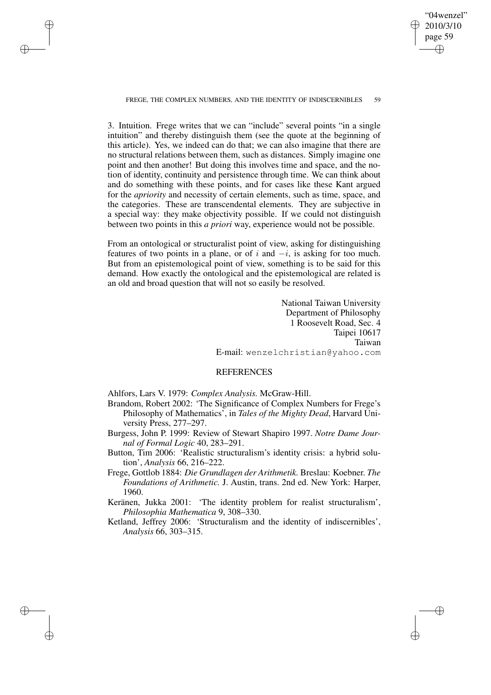"04wenzel" 2010/3/10 page 59 ✐ ✐

✐

✐

FREGE, THE COMPLEX NUMBERS, AND THE IDENTITY OF INDISCERNIBLES 59

✐

✐

✐

✐

3. Intuition. Frege writes that we can "include" several points "in a single intuition" and thereby distinguish them (see the quote at the beginning of this article). Yes, we indeed can do that; we can also imagine that there are no structural relations between them, such as distances. Simply imagine one point and then another! But doing this involves time and space, and the notion of identity, continuity and persistence through time. We can think about and do something with these points, and for cases like these Kant argued for the *apriority* and necessity of certain elements, such as time, space, and the categories. These are transcendental elements. They are subjective in a special way: they make objectivity possible. If we could not distinguish between two points in this *a priori* way, experience would not be possible.

From an ontological or structuralist point of view, asking for distinguishing features of two points in a plane, or of  $i$  and  $-i$ , is asking for too much. But from an epistemological point of view, something is to be said for this demand. How exactly the ontological and the epistemological are related is an old and broad question that will not so easily be resolved.

> National Taiwan University Department of Philosophy 1 Roosevelt Road, Sec. 4 Taipei 10617 Taiwan E-mail: wenzelchristian@yahoo.com

## REFERENCES

Ahlfors, Lars V. 1979: *Complex Analysis.* McGraw-Hill.

- Brandom, Robert 2002: 'The Significance of Complex Numbers for Frege's Philosophy of Mathematics', in *Tales of the Mighty Dead*, Harvard University Press, 277–297.
- Burgess, John P. 1999: Review of Stewart Shapiro 1997. *Notre Dame Journal of Formal Logic* 40, 283–291.
- Button, Tim 2006: 'Realistic structuralism's identity crisis: a hybrid solution', *Analysis* 66, 216–222.
- Frege, Gottlob 1884: *Die Grundlagen der Arithmetik.* Breslau: Koebner. *The Foundations of Arithmetic.* J. Austin, trans. 2nd ed. New York: Harper, 1960.
- Keränen, Jukka 2001: 'The identity problem for realist structuralism', *Philosophia Mathematica* 9, 308–330.
- Ketland, Jeffrey 2006: 'Structuralism and the identity of indiscernibles', *Analysis* 66, 303–315.